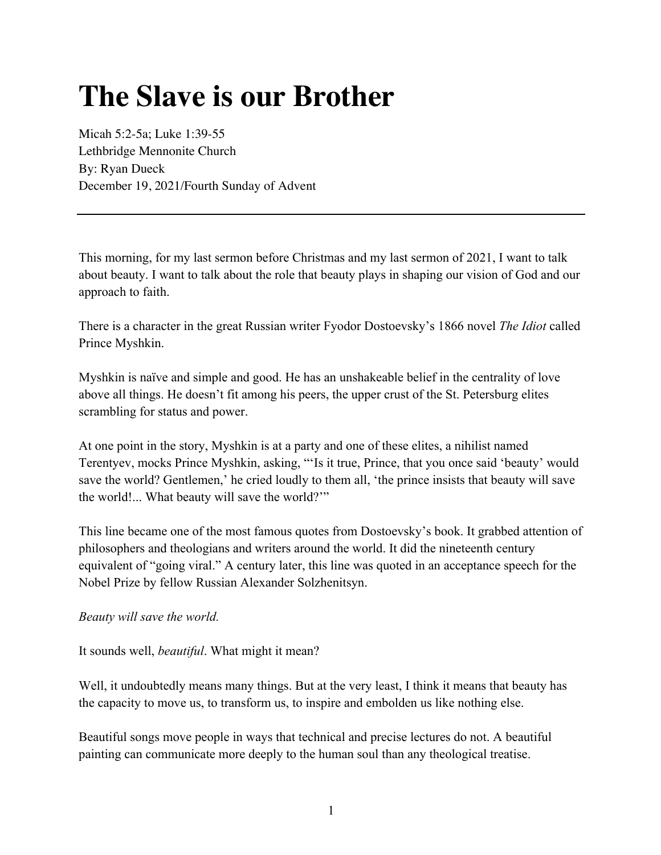## **The Slave is our Brother**

Micah 5:2-5a; Luke 1:39-55 Lethbridge Mennonite Church By: Ryan Dueck December 19, 2021/Fourth Sunday of Advent

This morning, for my last sermon before Christmas and my last sermon of 2021, I want to talk about beauty. I want to talk about the role that beauty plays in shaping our vision of God and our approach to faith.

There is a character in the great Russian writer Fyodor Dostoevsky's 1866 novel *The Idiot* called Prince Myshkin.

Myshkin is naïve and simple and good. He has an unshakeable belief in the centrality of love above all things. He doesn't fit among his peers, the upper crust of the St. Petersburg elites scrambling for status and power.

At one point in the story, Myshkin is at a party and one of these elites, a nihilist named Terentyev, mocks Prince Myshkin, asking, "'Is it true, Prince, that you once said 'beauty' would save the world? Gentlemen,' he cried loudly to them all, 'the prince insists that beauty will save the world!... What beauty will save the world?'"

This line became one of the most famous quotes from Dostoevsky's book. It grabbed attention of philosophers and theologians and writers around the world. It did the nineteenth century equivalent of "going viral." A century later, this line was quoted in an acceptance speech for the Nobel Prize by fellow Russian Alexander Solzhenitsyn.

## *Beauty will save the world.*

It sounds well, *beautiful*. What might it mean?

Well, it undoubtedly means many things. But at the very least, I think it means that beauty has the capacity to move us, to transform us, to inspire and embolden us like nothing else.

Beautiful songs move people in ways that technical and precise lectures do not. A beautiful painting can communicate more deeply to the human soul than any theological treatise.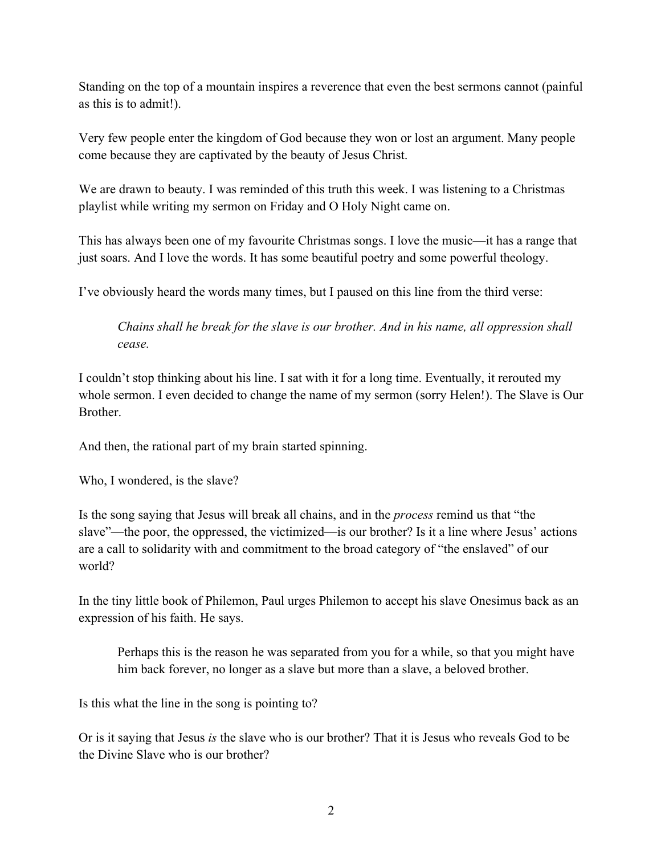Standing on the top of a mountain inspires a reverence that even the best sermons cannot (painful as this is to admit!).

Very few people enter the kingdom of God because they won or lost an argument. Many people come because they are captivated by the beauty of Jesus Christ.

We are drawn to beauty. I was reminded of this truth this week. I was listening to a Christmas playlist while writing my sermon on Friday and O Holy Night came on.

This has always been one of my favourite Christmas songs. I love the music—it has a range that just soars. And I love the words. It has some beautiful poetry and some powerful theology.

I've obviously heard the words many times, but I paused on this line from the third verse:

*Chains shall he break for the slave is our brother. And in his name, all oppression shall cease.* 

I couldn't stop thinking about his line. I sat with it for a long time. Eventually, it rerouted my whole sermon. I even decided to change the name of my sermon (sorry Helen!). The Slave is Our Brother.

And then, the rational part of my brain started spinning.

Who, I wondered, is the slave?

Is the song saying that Jesus will break all chains, and in the *process* remind us that "the slave"—the poor, the oppressed, the victimized—is our brother? Is it a line where Jesus' actions are a call to solidarity with and commitment to the broad category of "the enslaved" of our world?

In the tiny little book of Philemon, Paul urges Philemon to accept his slave Onesimus back as an expression of his faith. He says.

Perhaps this is the reason he was separated from you for a while, so that you might have him back forever, no longer as a slave but more than a slave, a beloved brother.

Is this what the line in the song is pointing to?

Or is it saying that Jesus *is* the slave who is our brother? That it is Jesus who reveals God to be the Divine Slave who is our brother?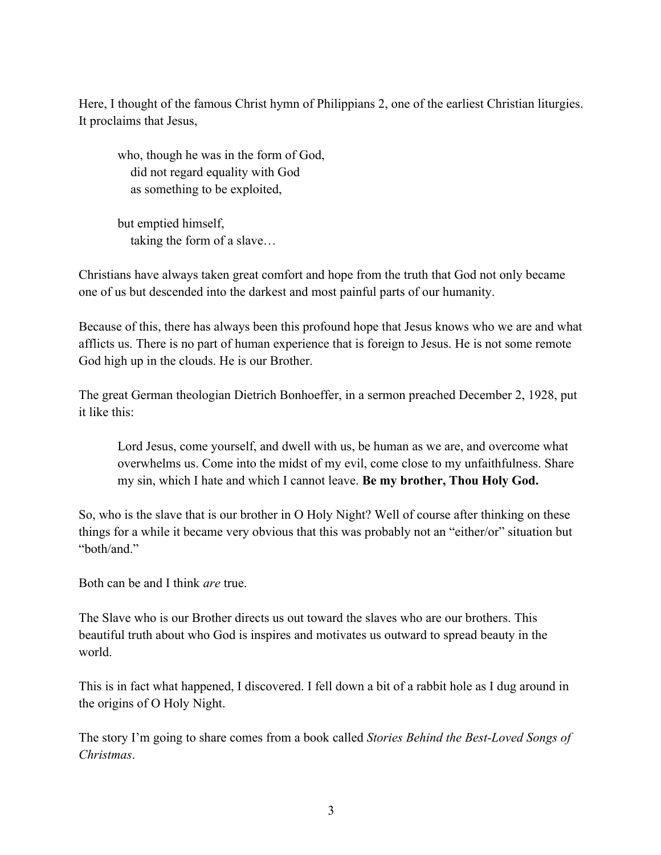Here, I thought of the famous Christ hymn of Philippians 2, one of the earliest Christian liturgies. It proclaims that Jesus,

who, though he was in the form of God, did not regard equality with God as something to be exploited,

but emptied himself, taking the form of a slave…

Christians have always taken great comfort and hope from the truth that God not only became one of us but descended into the darkest and most painful parts of our humanity.

Because of this, there has always been this profound hope that Jesus knows who we are and what afflicts us. There is no part of human experience that is foreign to Jesus. He is not some remote God high up in the clouds. He is our Brother.

The great German theologian Dietrich Bonhoeffer, in a sermon preached December 2, 1928, put it like this:

Lord Jesus, come yourself, and dwell with us, be human as we are, and overcome what overwhelms us. Come into the midst of my evil, come close to my unfaithfulness. Share my sin, which I hate and which I cannot leave. **Be my brother, Thou Holy God.** 

So, who is the slave that is our brother in O Holy Night? Well of course after thinking on these things for a while it became very obvious that this was probably not an "either/or" situation but "both/and."

Both can be and I think *are* true.

The Slave who is our Brother directs us out toward the slaves who are our brothers. This beautiful truth about who God is inspires and motivates us outward to spread beauty in the world.

This is in fact what happened, I discovered. I fell down a bit of a rabbit hole as I dug around in the origins of O Holy Night.

The story I'm going to share comes from a book called *Stories Behind the Best-Loved Songs of Christmas*.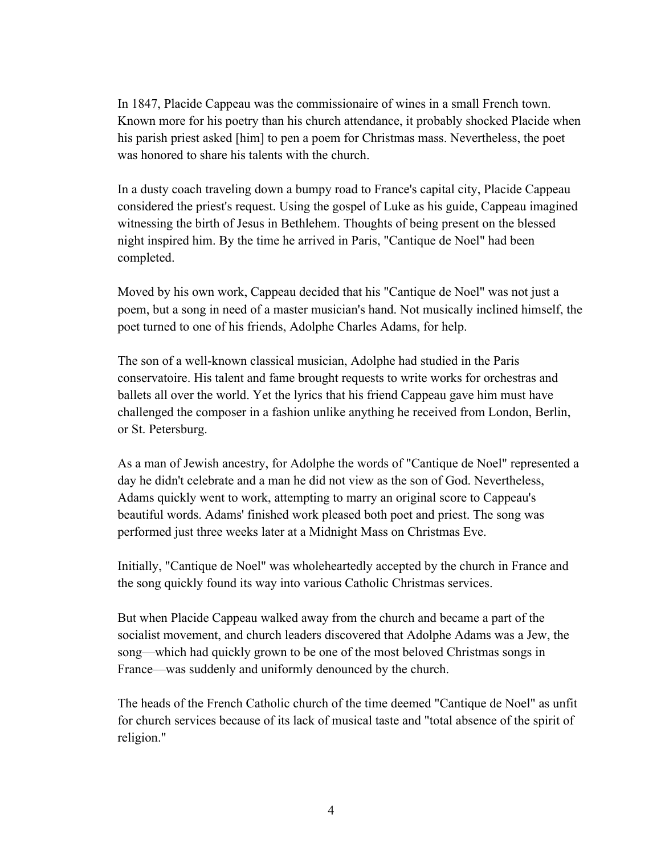In 1847, Placide Cappeau was the commissionaire of wines in a small French town. Known more for his poetry than his church attendance, it probably shocked Placide when his parish priest asked [him] to pen a poem for Christmas mass. Nevertheless, the poet was honored to share his talents with the church.

In a dusty coach traveling down a bumpy road to France's capital city, Placide Cappeau considered the priest's request. Using the gospel of Luke as his guide, Cappeau imagined witnessing the birth of Jesus in Bethlehem. Thoughts of being present on the blessed night inspired him. By the time he arrived in Paris, "Cantique de Noel" had been completed.

Moved by his own work, Cappeau decided that his "Cantique de Noel" was not just a poem, but a song in need of a master musician's hand. Not musically inclined himself, the poet turned to one of his friends, Adolphe Charles Adams, for help.

The son of a well-known classical musician, Adolphe had studied in the Paris conservatoire. His talent and fame brought requests to write works for orchestras and ballets all over the world. Yet the lyrics that his friend Cappeau gave him must have challenged the composer in a fashion unlike anything he received from London, Berlin, or St. Petersburg.

As a man of Jewish ancestry, for Adolphe the words of "Cantique de Noel" represented a day he didn't celebrate and a man he did not view as the son of God. Nevertheless, Adams quickly went to work, attempting to marry an original score to Cappeau's beautiful words. Adams' finished work pleased both poet and priest. The song was performed just three weeks later at a Midnight Mass on Christmas Eve.

Initially, "Cantique de Noel" was wholeheartedly accepted by the church in France and the song quickly found its way into various Catholic Christmas services.

But when Placide Cappeau walked away from the church and became a part of the socialist movement, and church leaders discovered that Adolphe Adams was a Jew, the song—which had quickly grown to be one of the most beloved Christmas songs in France—was suddenly and uniformly denounced by the church.

The heads of the French Catholic church of the time deemed "Cantique de Noel" as unfit for church services because of its lack of musical taste and "total absence of the spirit of religion."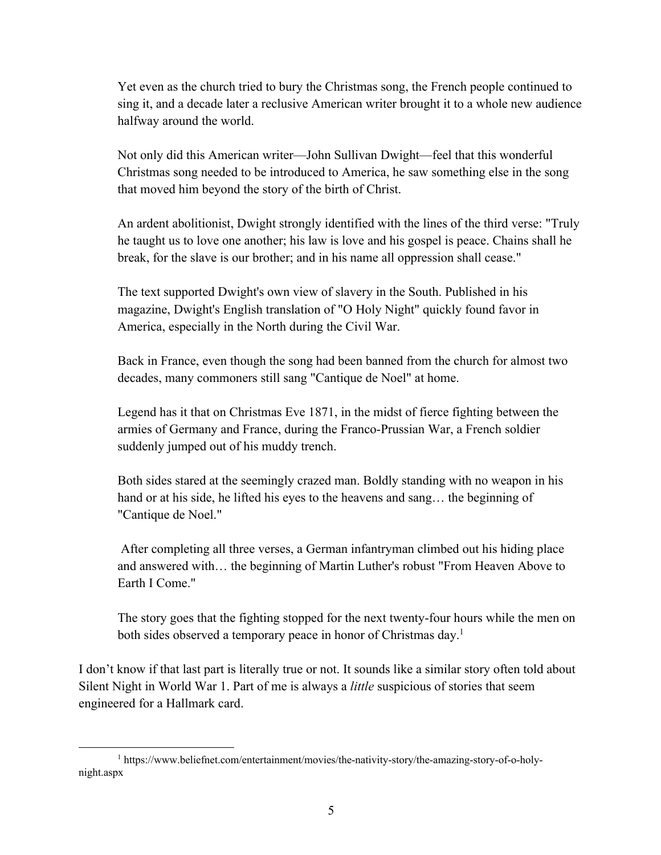Yet even as the church tried to bury the Christmas song, the French people continued to sing it, and a decade later a reclusive American writer brought it to a whole new audience halfway around the world.

Not only did this American writer—John Sullivan Dwight—feel that this wonderful Christmas song needed to be introduced to America, he saw something else in the song that moved him beyond the story of the birth of Christ.

An ardent abolitionist, Dwight strongly identified with the lines of the third verse: "Truly he taught us to love one another; his law is love and his gospel is peace. Chains shall he break, for the slave is our brother; and in his name all oppression shall cease."

The text supported Dwight's own view of slavery in the South. Published in his magazine, Dwight's English translation of "O Holy Night" quickly found favor in America, especially in the North during the Civil War.

Back in France, even though the song had been banned from the church for almost two decades, many commoners still sang "Cantique de Noel" at home.

Legend has it that on Christmas Eve 1871, in the midst of fierce fighting between the armies of Germany and France, during the Franco-Prussian War, a French soldier suddenly jumped out of his muddy trench.

Both sides stared at the seemingly crazed man. Boldly standing with no weapon in his hand or at his side, he lifted his eyes to the heavens and sang… the beginning of "Cantique de Noel."

After completing all three verses, a German infantryman climbed out his hiding place and answered with… the beginning of Martin Luther's robust "From Heaven Above to Earth I Come."

The story goes that the fighting stopped for the next twenty-four hours while the men on both sides observed a temporary peace in honor of Christmas day.<sup>1</sup>

I don't know if that last part is literally true or not. It sounds like a similar story often told about Silent Night in World War 1. Part of me is always a *little* suspicious of stories that seem engineered for a Hallmark card.

<sup>1</sup> https://www.beliefnet.com/entertainment/movies/the-nativity-story/the-amazing-story-of-o-holynight.aspx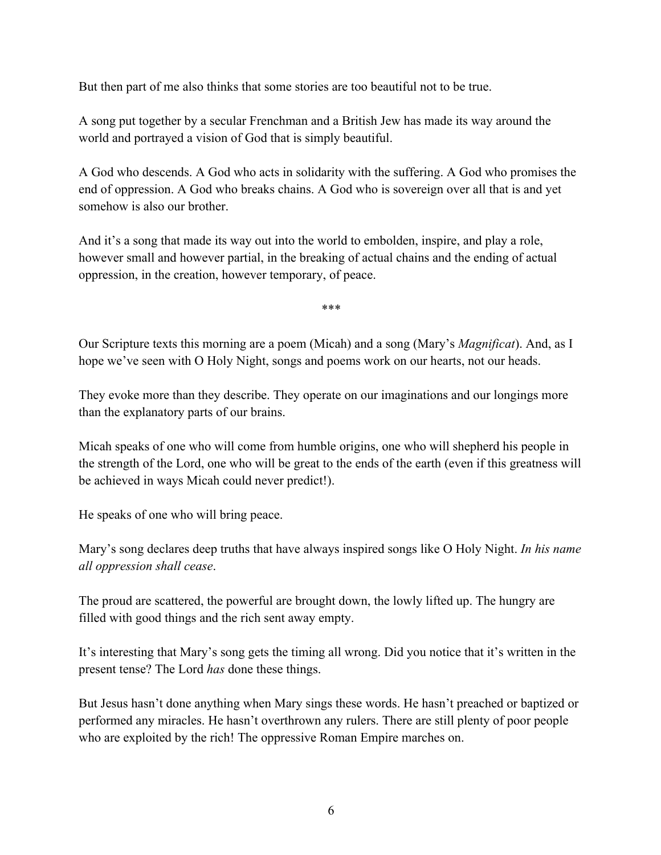But then part of me also thinks that some stories are too beautiful not to be true.

A song put together by a secular Frenchman and a British Jew has made its way around the world and portrayed a vision of God that is simply beautiful.

A God who descends. A God who acts in solidarity with the suffering. A God who promises the end of oppression. A God who breaks chains. A God who is sovereign over all that is and yet somehow is also our brother.

And it's a song that made its way out into the world to embolden, inspire, and play a role, however small and however partial, in the breaking of actual chains and the ending of actual oppression, in the creation, however temporary, of peace.

\*\*\*

Our Scripture texts this morning are a poem (Micah) and a song (Mary's *Magnificat*). And, as I hope we've seen with O Holy Night, songs and poems work on our hearts, not our heads.

They evoke more than they describe. They operate on our imaginations and our longings more than the explanatory parts of our brains.

Micah speaks of one who will come from humble origins, one who will shepherd his people in the strength of the Lord, one who will be great to the ends of the earth (even if this greatness will be achieved in ways Micah could never predict!).

He speaks of one who will bring peace.

Mary's song declares deep truths that have always inspired songs like O Holy Night. *In his name all oppression shall cease*.

The proud are scattered, the powerful are brought down, the lowly lifted up. The hungry are filled with good things and the rich sent away empty.

It's interesting that Mary's song gets the timing all wrong. Did you notice that it's written in the present tense? The Lord *has* done these things.

But Jesus hasn't done anything when Mary sings these words. He hasn't preached or baptized or performed any miracles. He hasn't overthrown any rulers. There are still plenty of poor people who are exploited by the rich! The oppressive Roman Empire marches on.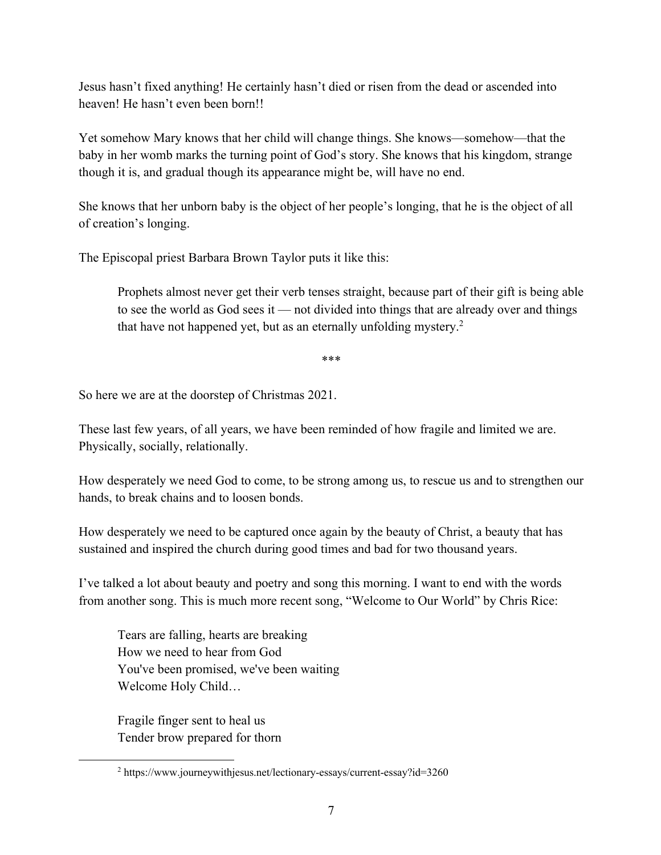Jesus hasn't fixed anything! He certainly hasn't died or risen from the dead or ascended into heaven! He hasn't even been born!!

Yet somehow Mary knows that her child will change things. She knows—somehow—that the baby in her womb marks the turning point of God's story. She knows that his kingdom, strange though it is, and gradual though its appearance might be, will have no end.

She knows that her unborn baby is the object of her people's longing, that he is the object of all of creation's longing.

The Episcopal priest Barbara Brown Taylor puts it like this:

Prophets almost never get their verb tenses straight, because part of their gift is being able to see the world as God sees it — not divided into things that are already over and things that have not happened yet, but as an eternally unfolding mystery.<sup>2</sup>

\*\*\*

So here we are at the doorstep of Christmas 2021.

These last few years, of all years, we have been reminded of how fragile and limited we are. Physically, socially, relationally.

How desperately we need God to come, to be strong among us, to rescue us and to strengthen our hands, to break chains and to loosen bonds.

How desperately we need to be captured once again by the beauty of Christ, a beauty that has sustained and inspired the church during good times and bad for two thousand years.

I've talked a lot about beauty and poetry and song this morning. I want to end with the words from another song. This is much more recent song, "Welcome to Our World" by Chris Rice:

Tears are falling, hearts are breaking How we need to hear from God You've been promised, we've been waiting Welcome Holy Child…

Fragile finger sent to heal us Tender brow prepared for thorn

<sup>2</sup> https://www.journeywithjesus.net/lectionary-essays/current-essay?id=3260